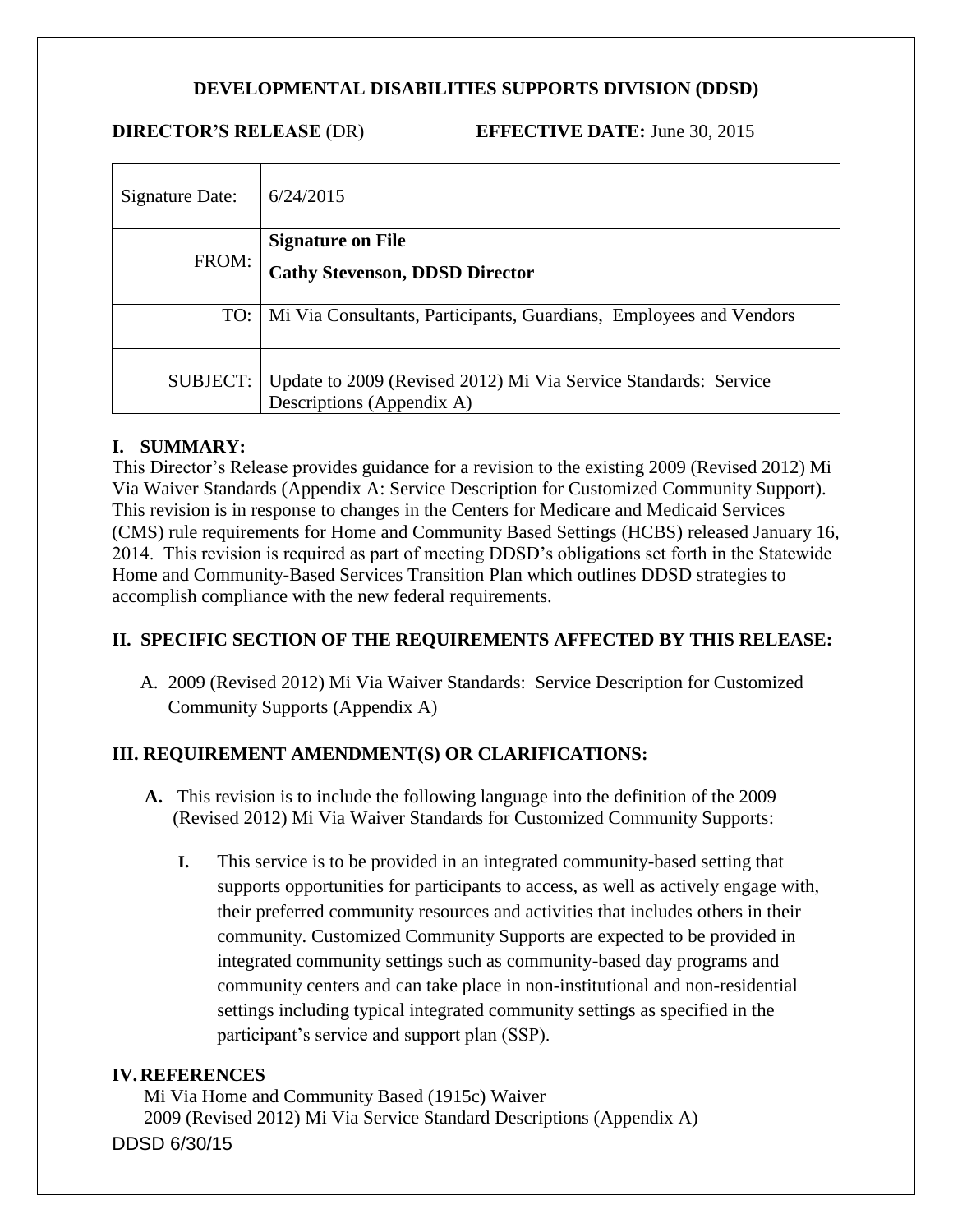# **DEVELOPMENTAL DISABILITIES SUPPORTS DIVISION (DDSD)**

**DIRECTOR'S RELEASE** (DR) **EFFECTIVE DATE:** June 30, 2015

| Signature Date: | 6/24/2015                                                                                    |
|-----------------|----------------------------------------------------------------------------------------------|
| FROM:           | <b>Signature on File</b>                                                                     |
|                 | <b>Cathy Stevenson, DDSD Director</b>                                                        |
|                 | TO:   Mi Via Consultants, Participants, Guardians, Employees and Vendors                     |
| SUBJECT:        | Update to 2009 (Revised 2012) Mi Via Service Standards: Service<br>Descriptions (Appendix A) |

#### **I. SUMMARY:**

This Director's Release provides guidance for a revision to the existing 2009 (Revised 2012) Mi Via Waiver Standards (Appendix A: Service Description for Customized Community Support). This revision is in response to changes in the Centers for Medicare and Medicaid Services (CMS) rule requirements for Home and Community Based Settings (HCBS) released January 16, 2014. This revision is required as part of meeting DDSD's obligations set forth in the Statewide Home and Community-Based Services Transition Plan which outlines DDSD strategies to accomplish compliance with the new federal requirements.

# **II. SPECIFIC SECTION OF THE REQUIREMENTS AFFECTED BY THIS RELEASE:**

A. 2009 (Revised 2012) Mi Via Waiver Standards: Service Description for Customized Community Supports (Appendix A)

# **III. REQUIREMENT AMENDMENT(S) OR CLARIFICATIONS:**

- **A.** This revision is to include the following language into the definition of the 2009 (Revised 2012) Mi Via Waiver Standards for Customized Community Supports:
	- **I.** This service is to be provided in an integrated community-based setting that supports opportunities for participants to access, as well as actively engage with, their preferred community resources and activities that includes others in their community. Customized Community Supports are expected to be provided in integrated community settings such as community-based day programs and community centers and can take place in non-institutional and non-residential settings including typical integrated community settings as specified in the participant's service and support plan (SSP).

#### **IV.REFERENCES**

DDSD 6/30/15 Mi Via Home and Community Based (1915c) Waiver 2009 (Revised 2012) Mi Via Service Standard Descriptions (Appendix A)